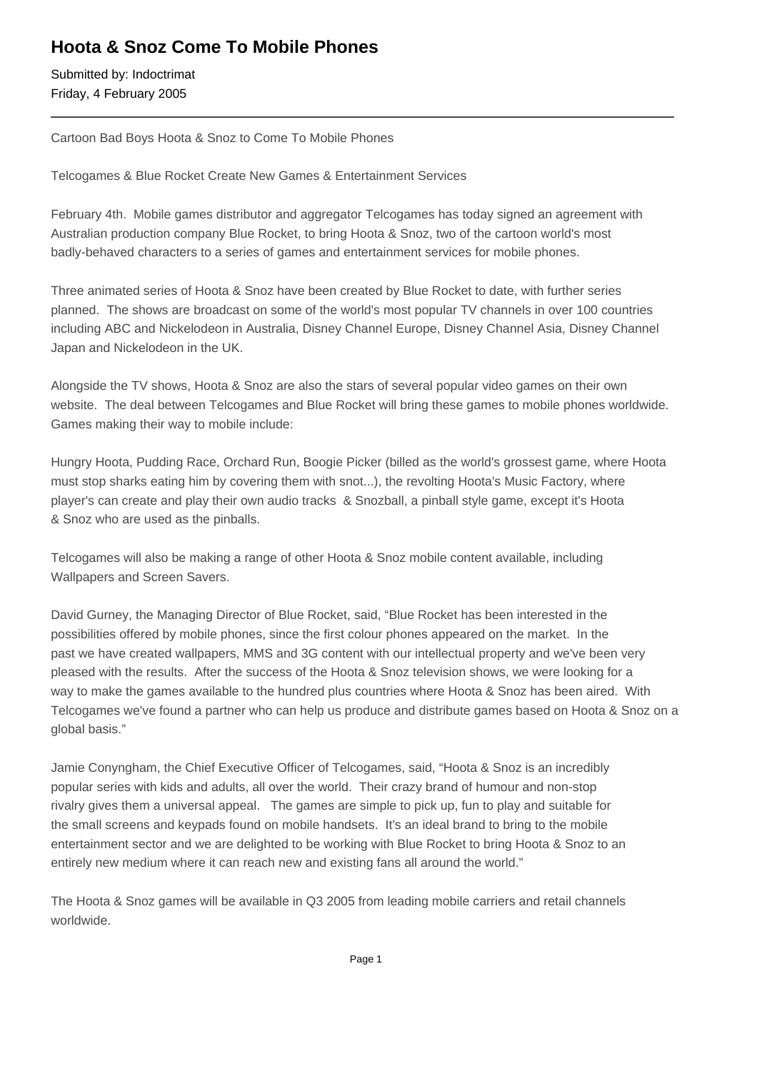## **Hoota & Snoz Come To Mobile Phones**

Submitted by: Indoctrimat Friday, 4 February 2005

Cartoon Bad Boys Hoota & Snoz to Come To Mobile Phones

Telcogames & Blue Rocket Create New Games & Entertainment Services

February 4th. Mobile games distributor and aggregator Telcogames has today signed an agreement with Australian production company Blue Rocket, to bring Hoota & Snoz, two of the cartoon world's most badly-behaved characters to a series of games and entertainment services for mobile phones.

Three animated series of Hoota & Snoz have been created by Blue Rocket to date, with further series planned. The shows are broadcast on some of the world's most popular TV channels in over 100 countries including ABC and Nickelodeon in Australia, Disney Channel Europe, Disney Channel Asia, Disney Channel Japan and Nickelodeon in the UK.

Alongside the TV shows, Hoota & Snoz are also the stars of several popular video games on their own website. The deal between Telcogames and Blue Rocket will bring these games to mobile phones worldwide. Games making their way to mobile include:

Hungry Hoota, Pudding Race, Orchard Run, Boogie Picker (billed as the world's grossest game, where Hoota must stop sharks eating him by covering them with snot...), the revolting Hoota's Music Factory, where player's can create and play their own audio tracks & Snozball, a pinball style game, except it's Hoota & Snoz who are used as the pinballs.

Telcogames will also be making a range of other Hoota & Snoz mobile content available, including Wallpapers and Screen Savers.

David Gurney, the Managing Director of Blue Rocket, said, "Blue Rocket has been interested in the possibilities offered by mobile phones, since the first colour phones appeared on the market. In the past we have created wallpapers, MMS and 3G content with our intellectual property and we've been very pleased with the results. After the success of the Hoota & Snoz television shows, we were looking for a way to make the games available to the hundred plus countries where Hoota & Snoz has been aired. With Telcogames we've found a partner who can help us produce and distribute games based on Hoota & Snoz on a global basis."

Jamie Conyngham, the Chief Executive Officer of Telcogames, said, "Hoota & Snoz is an incredibly popular series with kids and adults, all over the world. Their crazy brand of humour and non-stop rivalry gives them a universal appeal. The games are simple to pick up, fun to play and suitable for the small screens and keypads found on mobile handsets. It's an ideal brand to bring to the mobile entertainment sector and we are delighted to be working with Blue Rocket to bring Hoota & Snoz to an entirely new medium where it can reach new and existing fans all around the world."

The Hoota & Snoz games will be available in Q3 2005 from leading mobile carriers and retail channels worldwide.